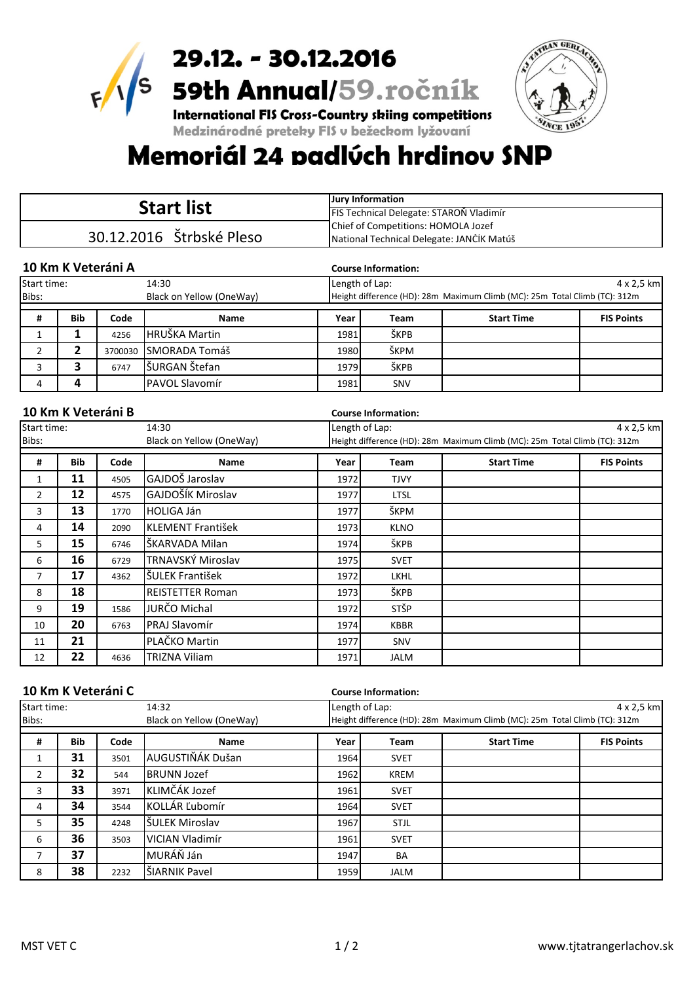

29.12. - 30.12.2016  $\frac{1}{29.12.}$  - 30.12.2016<br>59th Annual/59.ročník TRAN GERTA

**International FIS Cross-Country skiing competitions** Medzinárodné preteky FIS v bežeckom lyžovaní

## Memoriál 24 padlúch hrdinov SNP

|                |                          |                    |                          | <b>Jury Information</b>                 |                                     |                                                                            |                   |  |  |
|----------------|--------------------------|--------------------|--------------------------|-----------------------------------------|-------------------------------------|----------------------------------------------------------------------------|-------------------|--|--|
|                |                          |                    | <b>Start list</b>        | FIS Technical Delegate: STAROŇ Vladimír |                                     |                                                                            |                   |  |  |
|                | 30.12.2016 Štrbské Pleso |                    |                          |                                         | Chief of Competitions: HOMOLA Jozef |                                                                            |                   |  |  |
|                |                          |                    |                          |                                         |                                     | National Technical Delegate: JANČÍK Matúš                                  |                   |  |  |
|                |                          |                    |                          |                                         |                                     |                                                                            |                   |  |  |
|                |                          | 10 Km K Veteráni A |                          |                                         | <b>Course Information:</b>          |                                                                            |                   |  |  |
| Start time:    |                          |                    | 14:30                    | Length of Lap:                          |                                     |                                                                            | 4 x 2,5 km        |  |  |
| Bibs:          |                          |                    | Black on Yellow (OneWay) |                                         |                                     | Height difference (HD): 28m Maximum Climb (MC): 25m Total Climb (TC): 312m |                   |  |  |
| #              | <b>Bib</b>               | Code               | Name                     | Year                                    | Team                                | <b>Start Time</b>                                                          | <b>FIS Points</b> |  |  |
| $\mathbf{1}$   | 1                        | 4256               | HRUŠKA Martin            | 1981                                    | ŠKPB                                |                                                                            |                   |  |  |
| $\overline{2}$ | 2                        | 3700030            | <b>SMORADA Tomáš</b>     | 1980                                    | ŠKPM                                |                                                                            |                   |  |  |
| 3              | 3                        | 6747               | ŠURGAN Štefan            | 1979                                    | ŠKPB                                |                                                                            |                   |  |  |
| 4              | 4                        |                    | PAVOL Slavomír           | 1981                                    | SNV                                 |                                                                            |                   |  |  |
| Start time:    |                          |                    | 14:30                    | Length of Lap:<br>4 x 2,5 km            |                                     |                                                                            |                   |  |  |
|                |                          | 10 Km K Veteráni B |                          |                                         | <b>Course Information:</b>          |                                                                            |                   |  |  |
| Bibs:          |                          |                    | Black on Yellow (OneWay) |                                         |                                     | Height difference (HD): 28m Maximum Climb (MC): 25m Total Climb (TC): 312m |                   |  |  |
| #              | <b>Bib</b>               | Code               | <b>Name</b>              | Year                                    | <b>Team</b>                         | <b>Start Time</b>                                                          | <b>FIS Points</b> |  |  |
| $\mathbf{1}$   | 11                       | 4505               | GAJDOŠ Jaroslav          | 1972                                    | <b>TJVY</b>                         |                                                                            |                   |  |  |
| $\overline{2}$ | 12                       | 4575               | GAJDOŠÍK Miroslav        | 1977                                    | <b>LTSL</b>                         |                                                                            |                   |  |  |
| 3              | 13                       | 1770               | <b>HOLIGA Ján</b>        | 1977                                    | ŠKPM                                |                                                                            |                   |  |  |
| 4              | 14                       | 2090               | <b>KLEMENT František</b> | 1973                                    | <b>KLNO</b>                         |                                                                            |                   |  |  |
| 5.             | 15                       | 6746               | ŠKARVADA Milan           | 1974                                    | ŠKPB                                |                                                                            |                   |  |  |
| 6              | 16                       | 6729               | TRNAVSKÝ Miroslav        | 1975                                    | <b>SVET</b>                         |                                                                            |                   |  |  |
| 7              | 17                       | 4362               | ŠULEK František          | 1972                                    | <b>LKHL</b>                         |                                                                            |                   |  |  |
| 8              | 18                       |                    | <b>REISTETTER Roman</b>  | 1973                                    | ŠKPB                                |                                                                            |                   |  |  |
| 9              | 19                       | 1586               | JURČO Michal             | 1972                                    | STŠP                                |                                                                            |                   |  |  |
| 10             | 20                       | 6763               | <b>PRAJ Slavomír</b>     | 1974                                    | <b>KBBR</b>                         |                                                                            |                   |  |  |

| 10 Km K Veteráni C   |            |      |                          |      | <b>Course Information:</b> |                                                                            |                   |  |  |
|----------------------|------------|------|--------------------------|------|----------------------------|----------------------------------------------------------------------------|-------------------|--|--|
| Start time:<br>14:32 |            |      |                          |      | Length of Lap:             |                                                                            | 4 x 2,5 km        |  |  |
| Bibs:                |            |      | Black on Yellow (OneWay) |      |                            | Height difference (HD): 28m Maximum Climb (MC): 25m Total Climb (TC): 312m |                   |  |  |
| #                    | <b>Bib</b> | Code | Name                     | Year | Team                       | <b>Start Time</b>                                                          | <b>FIS Points</b> |  |  |
| 1                    | 31         | 3501 | AUGUSTIŇÁK Dušan         | 1964 | <b>SVET</b>                |                                                                            |                   |  |  |
| $\overline{2}$       | 32         | 544  | <b>BRUNN Jozef</b>       | 1962 | <b>KREM</b>                |                                                                            |                   |  |  |
| 3                    | 33         | 3971 | KLIMČÁK Jozef            | 1961 | <b>SVET</b>                |                                                                            |                   |  |  |
| 4                    | 34         | 3544 | KOLLÁR Ľubomír           | 1964 | <b>SVET</b>                |                                                                            |                   |  |  |
| 5                    | 35         | 4248 | ŠULEK Miroslav           | 1967 | <b>STJL</b>                |                                                                            |                   |  |  |
| 6                    | 36         | 3503 | VICIAN Vladimír          | 1961 | <b>SVET</b>                |                                                                            |                   |  |  |
| 7                    | 37         |      | MURÁŇ Ján                | 1947 | BA                         |                                                                            |                   |  |  |
| 8                    | 38         | 2232 | ŠIARNIK Pavel            | 1959 | <b>JALM</b>                |                                                                            |                   |  |  |

11 **21** PLAČKO Martin 1977 SNV 12 **22** 4636 TRIZNA Viliam 1971 JALM